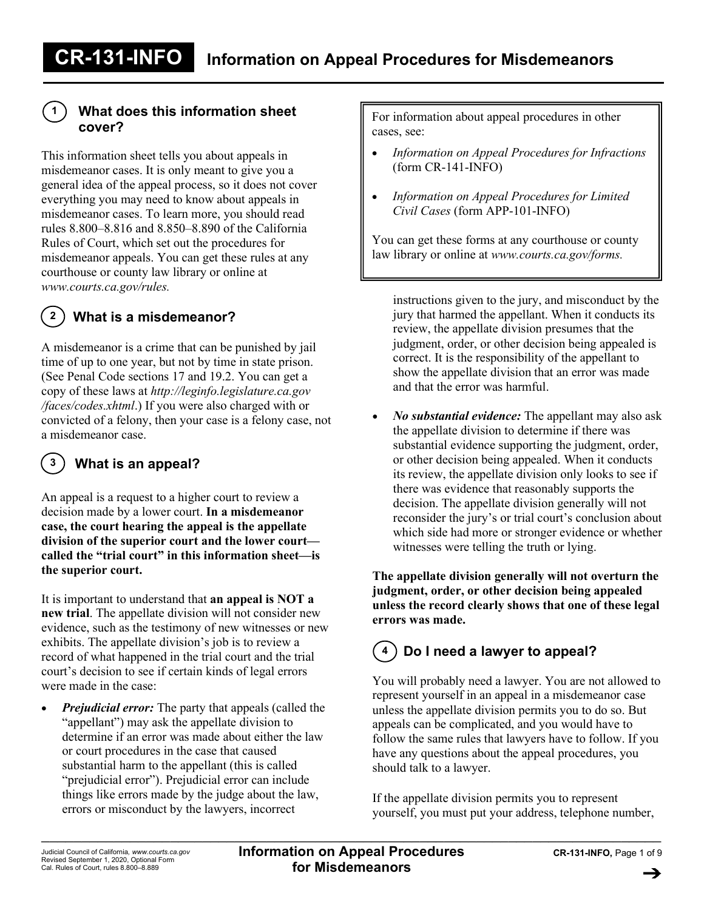## **What does this information sheet cover?**

**1**

This information sheet tells you about appeals in misdemeanor cases. It is only meant to give you a general idea of the appeal process, so it does not cover everything you may need to know about appeals in misdemeanor cases. To learn more, you should read rules 8.800–8.816 and 8.850–8.890 of the California Rules of Court, which set out the procedures for misdemeanor appeals. You can get these rules at any courthouse or county law library or online at *www.courts.ca.gov/rules.*

#### **What is a misdemeanor? 2**

A misdemeanor is a crime that can be punished by jail time of up to one year, but not by time in state prison. (See Penal Code sections 17 and 19.2. You can get a copy of these laws at *http://leginfo.legislature.ca.gov /faces/codes.xhtml*.) If you were also charged with or convicted of a felony, then your case is a felony case, not a misdemeanor case.

#### **What is an appeal? 3**

An appeal is a request to a higher court to review a decision made by a lower court. **In a misdemeanor case, the court hearing the appeal is the appellate division of the superior court and the lower court called the "trial court" in this information sheet—is the superior court.**

It is important to understand that **an appeal is NOT a new trial**. The appellate division will not consider new evidence, such as the testimony of new witnesses or new exhibits. The appellate division's job is to review a record of what happened in the trial court and the trial court's decision to see if certain kinds of legal errors were made in the case:

• *Prejudicial error:* The party that appeals (called the "appellant") may ask the appellate division to determine if an error was made about either the law or court procedures in the case that caused substantial harm to the appellant (this is called "prejudicial error"). Prejudicial error can include things like errors made by the judge about the law, errors or misconduct by the lawyers, incorrect

For information about appeal procedures in other cases, see:

- *Information on Appeal Procedures for Infractions* (form CR-141-INFO)
- *Information on Appeal Procedures for Limited Civil Cases* (form APP-101-INFO)

You can get these forms at any courthouse or county law library or online at *www.courts.ca.gov/forms.*

instructions given to the jury, and misconduct by the jury that harmed the appellant. When it conducts its review, the appellate division presumes that the judgment, order, or other decision being appealed is correct. It is the responsibility of the appellant to show the appellate division that an error was made and that the error was harmful.

• *No substantial evidence:* The appellant may also ask the appellate division to determine if there was substantial evidence supporting the judgment, order, or other decision being appealed. When it conducts its review, the appellate division only looks to see if there was evidence that reasonably supports the decision. The appellate division generally will not reconsider the jury's or trial court's conclusion about which side had more or stronger evidence or whether witnesses were telling the truth or lying.

**The appellate division generally will not overturn the judgment, order, or other decision being appealed unless the record clearly shows that one of these legal errors was made.**

### **Do I need a lawyer to appeal? 4**

You will probably need a lawyer. You are not allowed to represent yourself in an appeal in a misdemeanor case unless the appellate division permits you to do so. But appeals can be complicated, and you would have to follow the same rules that lawyers have to follow. If you have any questions about the appeal procedures, you should talk to a lawyer.

If the appellate division permits you to represent yourself, you must put your address, telephone number,

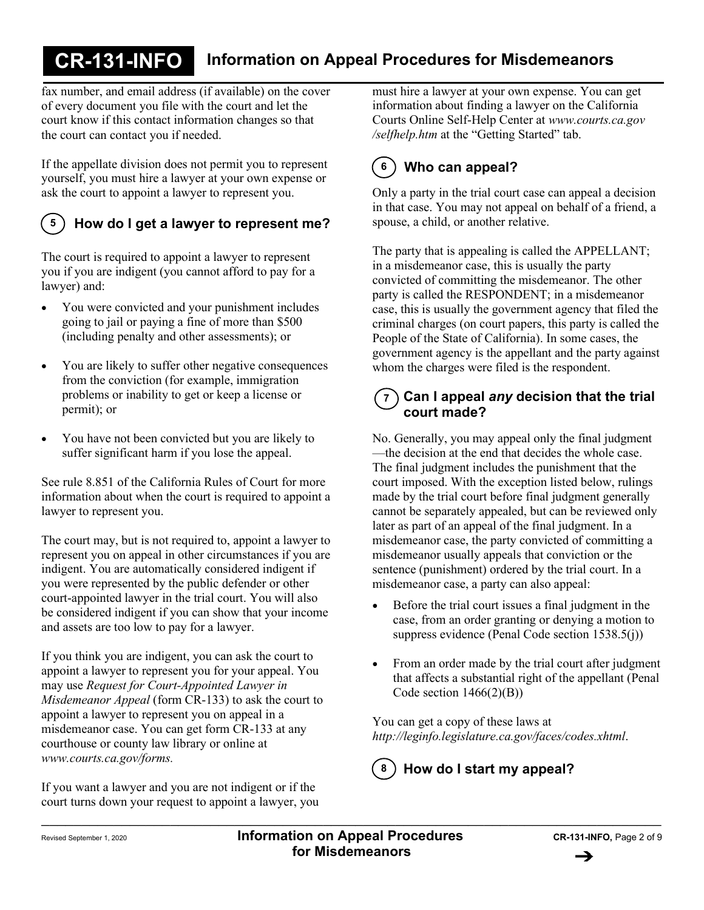fax number, and email address (if available) on the cover of every document you file with the court and let the court know if this contact information changes so that the court can contact you if needed.

If the appellate division does not permit you to represent yourself, you must hire a lawyer at your own expense or ask the court to appoint a lawyer to represent you.

## **5**

## **How do I get a lawyer to represent me?**

The court is required to appoint a lawyer to represent you if you are indigent (you cannot afford to pay for a lawyer) and:

- You were convicted and your punishment includes going to jail or paying a fine of more than \$500 (including penalty and other assessments); or
- You are likely to suffer other negative consequences from the conviction (for example, immigration problems or inability to get or keep a license or permit); or
- You have not been convicted but you are likely to suffer significant harm if you lose the appeal.

See rule 8.851 of the California Rules of Court for more information about when the court is required to appoint a lawyer to represent you.

The court may, but is not required to, appoint a lawyer to represent you on appeal in other circumstances if you are indigent. You are automatically considered indigent if you were represented by the public defender or other court-appointed lawyer in the trial court. You will also be considered indigent if you can show that your income and assets are too low to pay for a lawyer.

If you think you are indigent, you can ask the court to appoint a lawyer to represent you for your appeal. You may use *Request for Court-Appointed Lawyer in Misdemeanor Appeal* (form CR-133) to ask the court to appoint a lawyer to represent you on appeal in a misdemeanor case. You can get form CR-133 at any courthouse or county law library or online at *www.courts.ca.gov/forms.*

If you want a lawyer and you are not indigent or if the court turns down your request to appoint a lawyer, you

must hire a lawyer at your own expense. You can get information about finding a lawyer on the California Courts Online Self-Help Center at *www.courts.ca.gov /selfhelp.htm* at the "Getting Started" tab.

### **Who can appeal? 6**

Only a party in the trial court case can appeal a decision in that case. You may not appeal on behalf of a friend, a spouse, a child, or another relative.

The party that is appealing is called the APPELLANT; in a misdemeanor case, this is usually the party convicted of committing the misdemeanor. The other party is called the RESPONDENT; in a misdemeanor case, this is usually the government agency that filed the criminal charges (on court papers, this party is called the People of the State of California). In some cases, the government agency is the appellant and the party against whom the charges were filed is the respondent.

### **Can I appeal** *any* **decision that the trial court made? 7**

No. Generally, you may appeal only the final judgment —the decision at the end that decides the whole case. The final judgment includes the punishment that the court imposed. With the exception listed below, rulings made by the trial court before final judgment generally cannot be separately appealed, but can be reviewed only later as part of an appeal of the final judgment. In a misdemeanor case, the party convicted of committing a misdemeanor usually appeals that conviction or the sentence (punishment) ordered by the trial court. In a misdemeanor case, a party can also appeal:

- Before the trial court issues a final judgment in the case, from an order granting or denying a motion to suppress evidence (Penal Code section 1538.5(j))
- From an order made by the trial court after judgment that affects a substantial right of the appellant (Penal Code section  $1466(2)(B)$ )

You can get a copy of these laws at *http://leginfo.legislature.ca.gov/faces/codes.xhtml*.

**How do I start my appeal? 8**

\_\_\_\_\_\_\_\_\_\_\_\_\_\_\_\_\_\_\_\_\_\_\_\_\_\_\_\_\_\_\_\_\_\_\_\_\_\_\_\_\_\_\_\_\_\_\_\_\_\_\_\_\_\_\_\_\_\_\_\_\_\_\_\_\_\_\_\_\_\_\_\_\_\_\_\_\_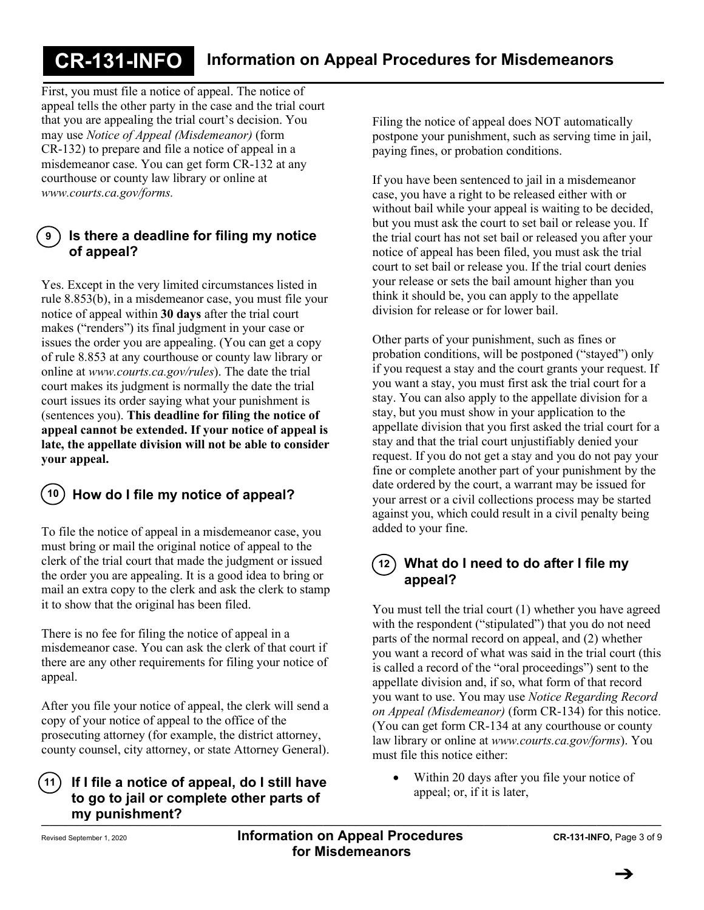First, you must file a notice of appeal. The notice of appeal tells the other party in the case and the trial court that you are appealing the trial court's decision. You may use *Notice of Appeal (Misdemeanor)* (form CR-132) to prepare and file a notice of appeal in a misdemeanor case. You can get form CR-132 at any courthouse or county law library or online at *www.courts.ca.gov/forms.*

### **Is there a deadline for filing my notice of appeal? 9**

Yes. Except in the very limited circumstances listed in rule 8.853(b), in a misdemeanor case, you must file your notice of appeal within **30 days** after the trial court makes ("renders") its final judgment in your case or issues the order you are appealing. (You can get a copy of rule 8.853 at any courthouse or county law library or online at *www.courts.ca.gov/rules*). The date the trial court makes its judgment is normally the date the trial court issues its order saying what your punishment is (sentences you). **This deadline for filing the notice of appeal cannot be extended. If your notice of appeal is late, the appellate division will not be able to consider your appeal.**



## **How do I file my notice of appeal? 10**

To file the notice of appeal in a misdemeanor case, you must bring or mail the original notice of appeal to the clerk of the trial court that made the judgment or issued the order you are appealing. It is a good idea to bring or mail an extra copy to the clerk and ask the clerk to stamp it to show that the original has been filed.

There is no fee for filing the notice of appeal in a misdemeanor case. You can ask the clerk of that court if there are any other requirements for filing your notice of appeal.

After you file your notice of appeal, the clerk will send a copy of your notice of appeal to the office of the prosecuting attorney (for example, the district attorney, county counsel, city attorney, or state Attorney General).

### \_\_\_\_\_\_\_\_\_\_\_\_\_\_\_\_\_\_\_\_\_\_\_\_\_\_\_\_\_\_\_\_\_\_\_\_\_\_\_\_\_\_\_\_\_\_\_\_\_\_\_\_\_\_\_\_\_\_\_\_\_\_\_\_\_\_\_\_\_\_\_\_\_\_\_\_\_ **If I file a notice of appeal, do I still have to go to jail or complete other parts of my punishment? 11**

Filing the notice of appeal does NOT automatically postpone your punishment, such as serving time in jail, paying fines, or probation conditions.

If you have been sentenced to jail in a misdemeanor case, you have a right to be released either with or without bail while your appeal is waiting to be decided, but you must ask the court to set bail or release you. If the trial court has not set bail or released you after your notice of appeal has been filed, you must ask the trial court to set bail or release you. If the trial court denies your release or sets the bail amount higher than you think it should be, you can apply to the appellate division for release or for lower bail.

Other parts of your punishment, such as fines or probation conditions, will be postponed ("stayed") only if you request a stay and the court grants your request. If you want a stay, you must first ask the trial court for a stay. You can also apply to the appellate division for a stay, but you must show in your application to the appellate division that you first asked the trial court for a stay and that the trial court unjustifiably denied your request. If you do not get a stay and you do not pay your fine or complete another part of your punishment by the date ordered by the court, a warrant may be issued for your arrest or a civil collections process may be started against you, which could result in a civil penalty being added to your fine.

### **What do I need to do after I file my appeal? 12**

You must tell the trial court (1) whether you have agreed with the respondent ("stipulated") that you do not need parts of the normal record on appeal, and (2) whether you want a record of what was said in the trial court (this is called a record of the "oral proceedings") sent to the appellate division and, if so, what form of that record you want to use. You may use *Notice Regarding Record on Appeal (Misdemeanor)* (form CR-134) for this notice. (You can get form CR-134 at any courthouse or county law library or online at *www.courts.ca.gov/forms*). You must file this notice either:

• Within 20 days after you file your notice of appeal; or, if it is later,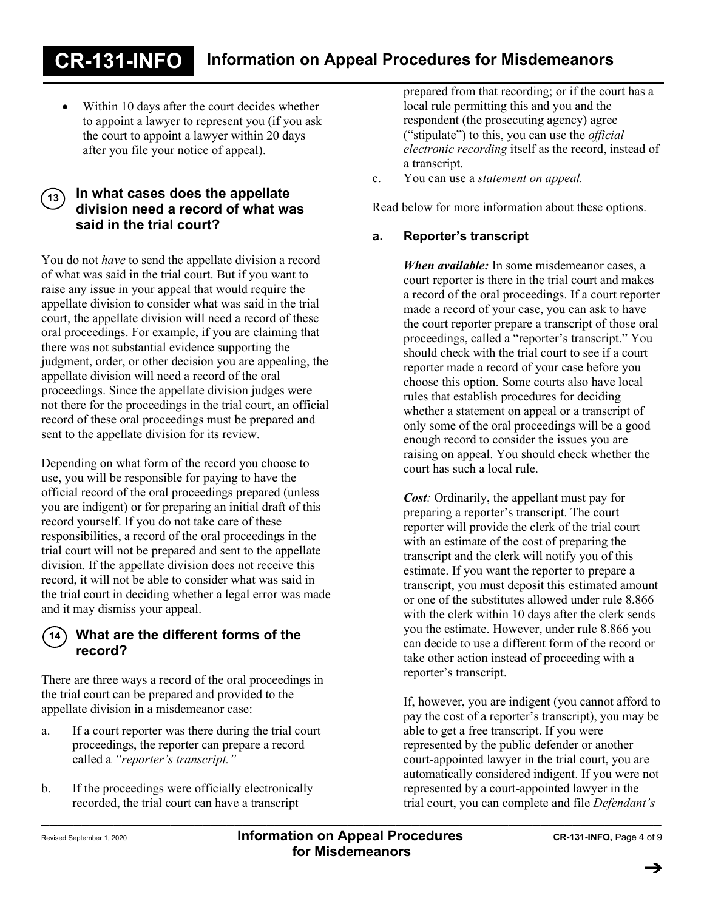Within 10 days after the court decides whether to appoint a lawyer to represent you (if you ask the court to appoint a lawyer within 20 days after you file your notice of appeal).

### **In what cases does the appellate division need a record of what was said in the trial court? 13**

You do not *have* to send the appellate division a record of what was said in the trial court. But if you want to raise any issue in your appeal that would require the appellate division to consider what was said in the trial court, the appellate division will need a record of these oral proceedings. For example, if you are claiming that there was not substantial evidence supporting the judgment, order, or other decision you are appealing, the appellate division will need a record of the oral proceedings. Since the appellate division judges were not there for the proceedings in the trial court, an official record of these oral proceedings must be prepared and sent to the appellate division for its review.

Depending on what form of the record you choose to use, you will be responsible for paying to have the official record of the oral proceedings prepared (unless you are indigent) or for preparing an initial draft of this record yourself. If you do not take care of these responsibilities, a record of the oral proceedings in the trial court will not be prepared and sent to the appellate division. If the appellate division does not receive this record, it will not be able to consider what was said in the trial court in deciding whether a legal error was made and it may dismiss your appeal.



## **What are the different forms of the record?**

There are three ways a record of the oral proceedings in the trial court can be prepared and provided to the appellate division in a misdemeanor case:

- a. If a court reporter was there during the trial court proceedings, the reporter can prepare a record called a *"reporter's transcript."*
- \_\_\_\_\_\_\_\_\_\_\_\_\_\_\_\_\_\_\_\_\_\_\_\_\_\_\_\_\_\_\_\_\_\_\_\_\_\_\_\_\_\_\_\_\_\_\_\_\_\_\_\_\_\_\_\_\_\_\_\_\_\_\_\_\_\_\_\_\_\_\_\_\_\_\_\_\_ b. If the proceedings were officially electronically recorded, the trial court can have a transcript

prepared from that recording; or if the court has a local rule permitting this and you and the respondent (the prosecuting agency) agree ("stipulate") to this, you can use the *official electronic recording* itself as the record, instead of a transcript.

c. You can use a *statement on appeal.*

Read below for more information about these options.

## **a. Reporter's transcript**

*When available:* In some misdemeanor cases, a court reporter is there in the trial court and makes a record of the oral proceedings. If a court reporter made a record of your case, you can ask to have the court reporter prepare a transcript of those oral proceedings, called a "reporter's transcript." You should check with the trial court to see if a court reporter made a record of your case before you choose this option. Some courts also have local rules that establish procedures for deciding whether a statement on appeal or a transcript of only some of the oral proceedings will be a good enough record to consider the issues you are raising on appeal. You should check whether the court has such a local rule.

*Cost:* Ordinarily, the appellant must pay for preparing a reporter's transcript. The court reporter will provide the clerk of the trial court with an estimate of the cost of preparing the transcript and the clerk will notify you of this estimate. If you want the reporter to prepare a transcript, you must deposit this estimated amount or one of the substitutes allowed under rule 8.866 with the clerk within 10 days after the clerk sends you the estimate. However, under rule 8.866 you can decide to use a different form of the record or take other action instead of proceeding with a reporter's transcript.

If, however, you are indigent (you cannot afford to pay the cost of a reporter's transcript), you may be able to get a free transcript. If you were represented by the public defender or another court-appointed lawyer in the trial court, you are automatically considered indigent. If you were not represented by a court-appointed lawyer in the trial court, you can complete and file *Defendant's*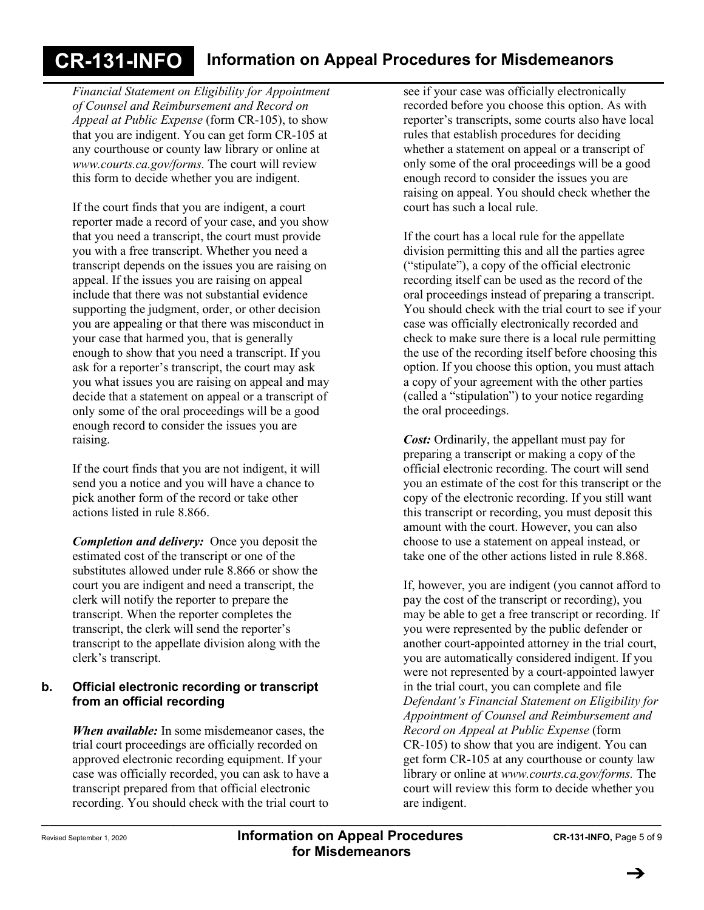*Financial Statement on Eligibility for Appointment of Counsel and Reimbursement and Record on Appeal at Public Expense* (form CR-105), to show that you are indigent. You can get form CR-105 at any courthouse or county law library or online at *www.courts.ca.gov/forms.* The court will review this form to decide whether you are indigent.

If the court finds that you are indigent, a court reporter made a record of your case, and you show that you need a transcript, the court must provide you with a free transcript. Whether you need a transcript depends on the issues you are raising on appeal. If the issues you are raising on appeal include that there was not substantial evidence supporting the judgment, order, or other decision you are appealing or that there was misconduct in your case that harmed you, that is generally enough to show that you need a transcript. If you ask for a reporter's transcript, the court may ask you what issues you are raising on appeal and may decide that a statement on appeal or a transcript of only some of the oral proceedings will be a good enough record to consider the issues you are raising.

If the court finds that you are not indigent, it will send you a notice and you will have a chance to pick another form of the record or take other actions listed in rule 8.866.

*Completion and delivery:* Once you deposit the estimated cost of the transcript or one of the substitutes allowed under rule 8.866 or show the court you are indigent and need a transcript, the clerk will notify the reporter to prepare the transcript. When the reporter completes the transcript, the clerk will send the reporter's transcript to the appellate division along with the clerk's transcript.

### **b. Official electronic recording or transcript from an official recording**

*When available:* In some misdemeanor cases, the trial court proceedings are officially recorded on approved electronic recording equipment. If your case was officially recorded, you can ask to have a transcript prepared from that official electronic recording. You should check with the trial court to

see if your case was officially electronically recorded before you choose this option. As with reporter's transcripts, some courts also have local rules that establish procedures for deciding whether a statement on appeal or a transcript of only some of the oral proceedings will be a good enough record to consider the issues you are raising on appeal. You should check whether the court has such a local rule.

If the court has a local rule for the appellate division permitting this and all the parties agree ("stipulate"), a copy of the official electronic recording itself can be used as the record of the oral proceedings instead of preparing a transcript. You should check with the trial court to see if your case was officially electronically recorded and check to make sure there is a local rule permitting the use of the recording itself before choosing this option. If you choose this option, you must attach a copy of your agreement with the other parties (called a "stipulation") to your notice regarding the oral proceedings.

*Cost:* Ordinarily, the appellant must pay for preparing a transcript or making a copy of the official electronic recording. The court will send you an estimate of the cost for this transcript or the copy of the electronic recording. If you still want this transcript or recording, you must deposit this amount with the court. However, you can also choose to use a statement on appeal instead, or take one of the other actions listed in rule 8.868.

If, however, you are indigent (you cannot afford to pay the cost of the transcript or recording), you may be able to get a free transcript or recording. If you were represented by the public defender or another court-appointed attorney in the trial court, you are automatically considered indigent. If you were not represented by a court-appointed lawyer in the trial court, you can complete and file *Defendant's Financial Statement on Eligibility for Appointment of Counsel and Reimbursement and Record on Appeal at Public Expense* (form CR-105) to show that you are indigent. You can get form CR-105 at any courthouse or county law library or online at *www.courts.ca.gov/forms.* The court will review this form to decide whether you are indigent.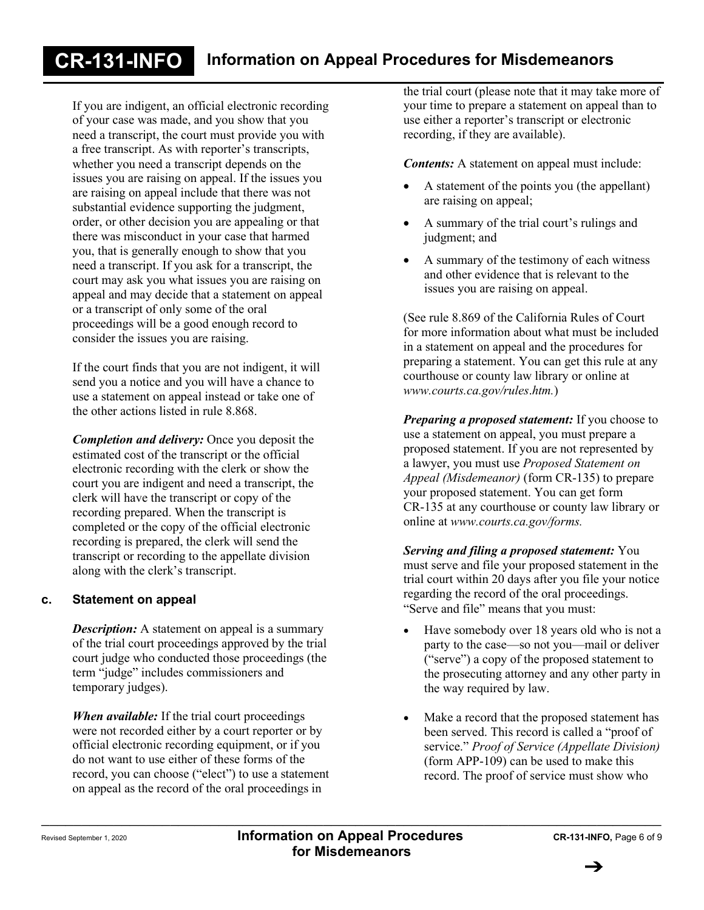If you are indigent, an official electronic recording of your case was made, and you show that you need a transcript, the court must provide you with a free transcript. As with reporter's transcripts, whether you need a transcript depends on the issues you are raising on appeal. If the issues you are raising on appeal include that there was not substantial evidence supporting the judgment, order, or other decision you are appealing or that there was misconduct in your case that harmed you, that is generally enough to show that you need a transcript. If you ask for a transcript, the court may ask you what issues you are raising on appeal and may decide that a statement on appeal or a transcript of only some of the oral proceedings will be a good enough record to consider the issues you are raising.

If the court finds that you are not indigent, it will send you a notice and you will have a chance to use a statement on appeal instead or take one of the other actions listed in rule 8.868.

*Completion and delivery:* Once you deposit the estimated cost of the transcript or the official electronic recording with the clerk or show the court you are indigent and need a transcript, the clerk will have the transcript or copy of the recording prepared. When the transcript is completed or the copy of the official electronic recording is prepared, the clerk will send the transcript or recording to the appellate division along with the clerk's transcript.

### **c. Statement on appeal**

*Description:* A statement on appeal is a summary of the trial court proceedings approved by the trial court judge who conducted those proceedings (the term "judge" includes commissioners and temporary judges).

*When available:* If the trial court proceedings were not recorded either by a court reporter or by official electronic recording equipment, or if you do not want to use either of these forms of the record, you can choose ("elect") to use a statement on appeal as the record of the oral proceedings in

the trial court (please note that it may take more of your time to prepare a statement on appeal than to use either a reporter's transcript or electronic recording, if they are available).

*Contents:* A statement on appeal must include:

- A statement of the points you (the appellant) are raising on appeal;
- A summary of the trial court's rulings and judgment; and
- A summary of the testimony of each witness and other evidence that is relevant to the issues you are raising on appeal.

(See rule 8.869 of the California Rules of Court for more information about what must be included in a statement on appeal and the procedures for preparing a statement. You can get this rule at any courthouse or county law library or online at *www.courts.ca.gov/rules*.*htm.*)

*Preparing a proposed statement:* If you choose to use a statement on appeal, you must prepare a proposed statement. If you are not represented by a lawyer, you must use *Proposed Statement on Appeal (Misdemeanor)* (form CR-135) to prepare your proposed statement. You can get form CR-135 at any courthouse or county law library or online at *www.courts.ca.gov/forms.*

*Serving and filing a proposed statement:* You must serve and file your proposed statement in the trial court within 20 days after you file your notice regarding the record of the oral proceedings. "Serve and file" means that you must:

- Have somebody over 18 years old who is not a party to the case—so not you—mail or deliver ("serve") a copy of the proposed statement to the prosecuting attorney and any other party in the way required by law.
- Make a record that the proposed statement has been served. This record is called a "proof of service." *Proof of Service (Appellate Division)* (form APP-109) can be used to make this record. The proof of service must show who

\_\_\_\_\_\_\_\_\_\_\_\_\_\_\_\_\_\_\_\_\_\_\_\_\_\_\_\_\_\_\_\_\_\_\_\_\_\_\_\_\_\_\_\_\_\_\_\_\_\_\_\_\_\_\_\_\_\_\_\_\_\_\_\_\_\_\_\_\_\_\_\_\_\_\_\_\_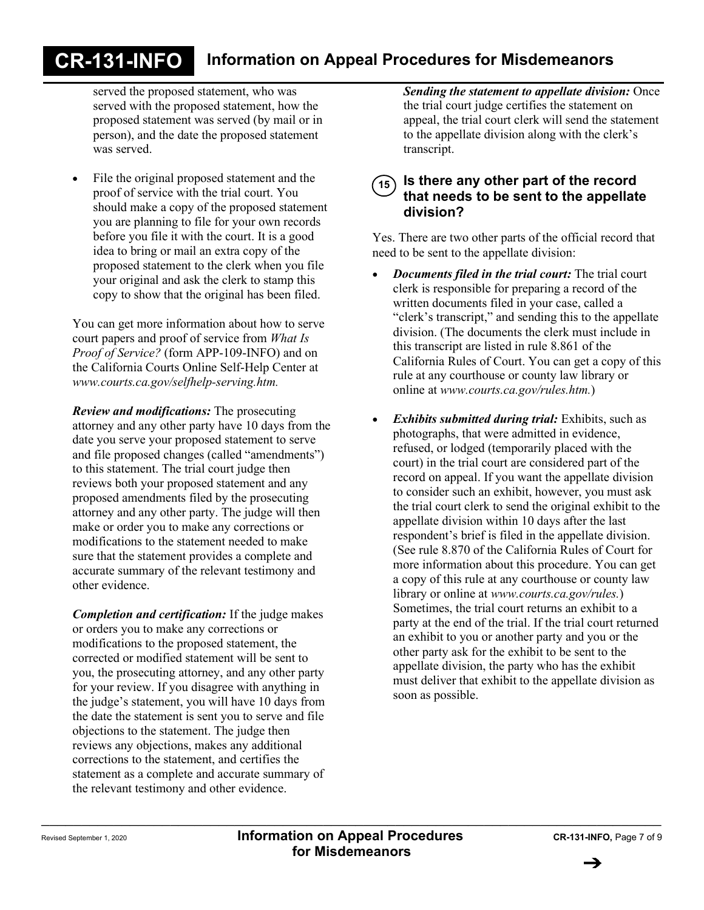served the proposed statement, who was served with the proposed statement, how the proposed statement was served (by mail or in person), and the date the proposed statement was served.

• File the original proposed statement and the proof of service with the trial court. You should make a copy of the proposed statement you are planning to file for your own records before you file it with the court. It is a good idea to bring or mail an extra copy of the proposed statement to the clerk when you file your original and ask the clerk to stamp this copy to show that the original has been filed.

You can get more information about how to serve court papers and proof of service from *What Is Proof of Service?* (form APP-109-INFO) and on the California Courts Online Self-Help Center at *www.courts.ca.gov/selfhelp-serving.htm.*

*Review and modifications:* The prosecuting attorney and any other party have 10 days from the date you serve your proposed statement to serve and file proposed changes (called "amendments") to this statement. The trial court judge then reviews both your proposed statement and any proposed amendments filed by the prosecuting attorney and any other party. The judge will then make or order you to make any corrections or modifications to the statement needed to make sure that the statement provides a complete and accurate summary of the relevant testimony and other evidence.

*Completion and certification:* If the judge makes or orders you to make any corrections or modifications to the proposed statement, the corrected or modified statement will be sent to you, the prosecuting attorney, and any other party for your review. If you disagree with anything in the judge's statement, you will have 10 days from the date the statement is sent you to serve and file objections to the statement. The judge then reviews any objections, makes any additional corrections to the statement, and certifies the statement as a complete and accurate summary of the relevant testimony and other evidence.

*Sending the statement to appellate division:* Once the trial court judge certifies the statement on appeal, the trial court clerk will send the statement to the appellate division along with the clerk's transcript.

### **Is there any other part of the record that needs to be sent to the appellate division? 15**

Yes. There are two other parts of the official record that need to be sent to the appellate division:

- *Documents filed in the trial court:* The trial court clerk is responsible for preparing a record of the written documents filed in your case, called a "clerk's transcript," and sending this to the appellate division. (The documents the clerk must include in this transcript are listed in rule 8.861 of the California Rules of Court. You can get a copy of this rule at any courthouse or county law library or online at *www.courts.ca.gov/rules.htm.*)
- *Exhibits submitted during trial:* Exhibits, such as photographs, that were admitted in evidence, refused, or lodged (temporarily placed with the court) in the trial court are considered part of the record on appeal. If you want the appellate division to consider such an exhibit, however, you must ask the trial court clerk to send the original exhibit to the appellate division within 10 days after the last respondent's brief is filed in the appellate division. (See rule 8.870 of the California Rules of Court for more information about this procedure. You can get a copy of this rule at any courthouse or county law library or online at *www.courts.ca.gov/rules.*) Sometimes, the trial court returns an exhibit to a party at the end of the trial. If the trial court returned an exhibit to you or another party and you or the other party ask for the exhibit to be sent to the appellate division, the party who has the exhibit must deliver that exhibit to the appellate division as soon as possible.

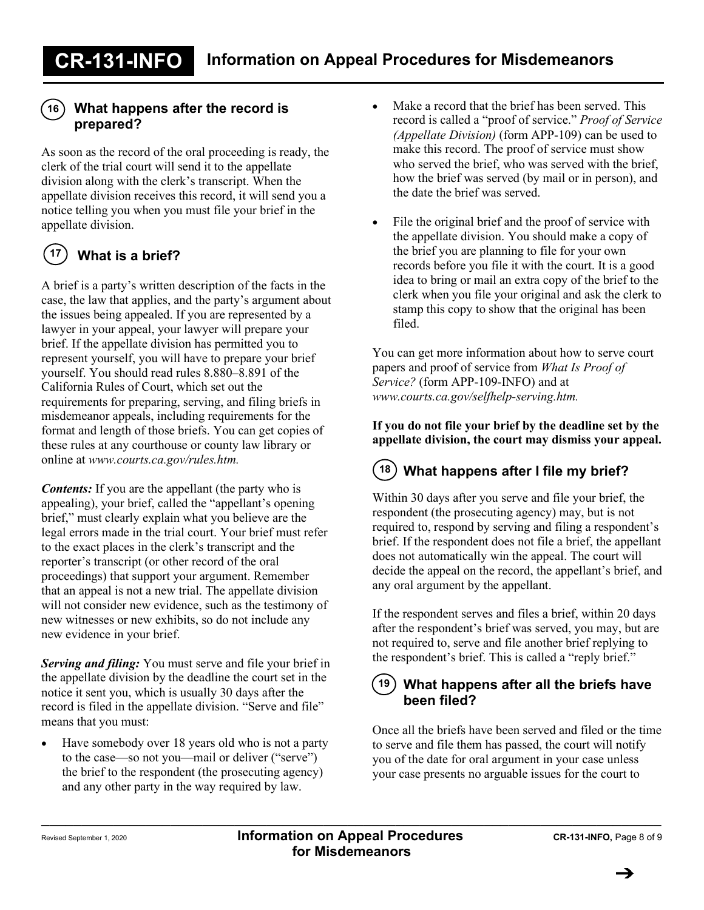## **What happens after the record is 16 prepared?**

As soon as the record of the oral proceeding is ready, the clerk of the trial court will send it to the appellate division along with the clerk's transcript. When the appellate division receives this record, it will send you a notice telling you when you must file your brief in the appellate division.

#### **What is a brief? 17**

A brief is a party's written description of the facts in the case, the law that applies, and the party's argument about the issues being appealed. If you are represented by a lawyer in your appeal, your lawyer will prepare your brief. If the appellate division has permitted you to represent yourself, you will have to prepare your brief yourself. You should read rules 8.880–8.891 of the California Rules of Court, which set out the requirements for preparing, serving, and filing briefs in misdemeanor appeals, including requirements for the format and length of those briefs. You can get copies of these rules at any courthouse or county law library or online at *www.courts.ca.gov/rules.htm.*

*Contents:* If you are the appellant (the party who is appealing), your brief, called the "appellant's opening brief," must clearly explain what you believe are the legal errors made in the trial court. Your brief must refer to the exact places in the clerk's transcript and the reporter's transcript (or other record of the oral proceedings) that support your argument. Remember that an appeal is not a new trial. The appellate division will not consider new evidence, such as the testimony of new witnesses or new exhibits, so do not include any new evidence in your brief.

*Serving and filing:* You must serve and file your brief in the appellate division by the deadline the court set in the notice it sent you, which is usually 30 days after the record is filed in the appellate division. "Serve and file" means that you must:

• Have somebody over 18 years old who is not a party to the case—so not you—mail or deliver ("serve") the brief to the respondent (the prosecuting agency) and any other party in the way required by law.

- Make a record that the brief has been served. This record is called a "proof of service." *Proof of Service (Appellate Division)* (form APP-109) can be used to make this record. The proof of service must show who served the brief, who was served with the brief, how the brief was served (by mail or in person), and the date the brief was served.
- File the original brief and the proof of service with the appellate division. You should make a copy of the brief you are planning to file for your own records before you file it with the court. It is a good idea to bring or mail an extra copy of the brief to the clerk when you file your original and ask the clerk to stamp this copy to show that the original has been filed.

You can get more information about how to serve court papers and proof of service from *What Is Proof of Service?* (form APP-109-INFO) and at *www.courts.ca.gov/selfhelp-serving.htm.*

### **If you do not file your brief by the deadline set by the appellate division, the court may dismiss your appeal.**

#### **What happens after I file my brief? 18**

Within 30 days after you serve and file your brief, the respondent (the prosecuting agency) may, but is not required to, respond by serving and filing a respondent's brief. If the respondent does not file a brief, the appellant does not automatically win the appeal. The court will decide the appeal on the record, the appellant's brief, and any oral argument by the appellant.

If the respondent serves and files a brief, within 20 days after the respondent's brief was served, you may, but are not required to, serve and file another brief replying to the respondent's brief. This is called a "reply brief."

### **What happens after all the briefs have been filed? 19**

Once all the briefs have been served and filed or the time to serve and file them has passed, the court will notify you of the date for oral argument in your case unless your case presents no arguable issues for the court to

\_\_\_\_\_\_\_\_\_\_\_\_\_\_\_\_\_\_\_\_\_\_\_\_\_\_\_\_\_\_\_\_\_\_\_\_\_\_\_\_\_\_\_\_\_\_\_\_\_\_\_\_\_\_\_\_\_\_\_\_\_\_\_\_\_\_\_\_\_\_\_\_\_\_\_\_\_